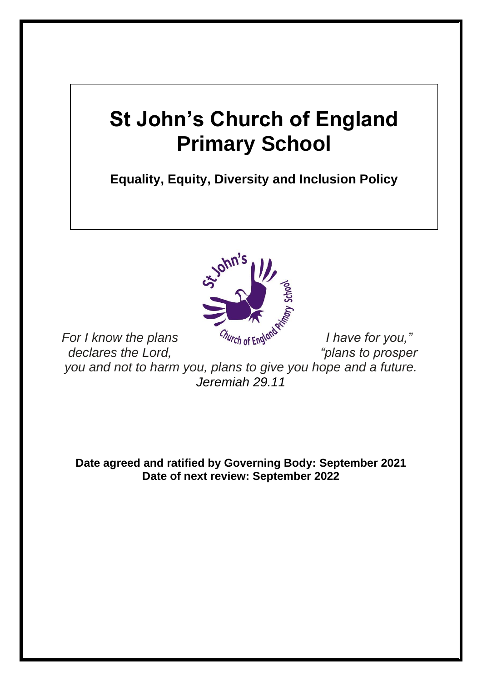# **St John's Church of England Primary School**

**Equality, Equity, Diversity and Inclusion Policy**



*For I know the plans Church of England I have for you,*" *declares the Lord, "plans to prosper* 

*you and not to harm you, plans to give you hope and a future. Jeremiah 29.11*

**Date agreed and ratified by Governing Body: September 2021 Date of next review: September 2022**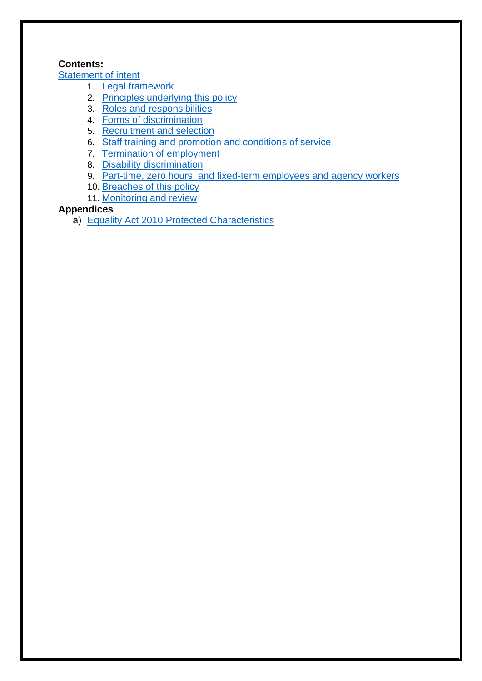# **Contents:**

**[Statement of intent](#page-2-0)** 

- 1. [Legal framework](#page-3-0)
- 2. [Principles underlying this policy](#page-3-1)
- 3. [Roles and responsibilities](#page-4-0)
- 4. [Forms of discrimination](#page-5-0)
- 5. [Recruitment and selection](#page-5-1)
- 6. [Staff training and promotion and conditions of service](#page-6-0)
- 7. [Termination of employment](#page-6-1)
- 8. [Disability discrimination](#page-6-2)
- 9. **[Part-time, zero hours, and fixed-term employees and agency workers](#page-7-0)**
- 10. [Breaches of this policy](#page-7-1)
- 11. [Monitoring and review](#page-7-2)

# **Appendices**

a) [Equality Act 2010 Protected Characteristics](#page-7-3)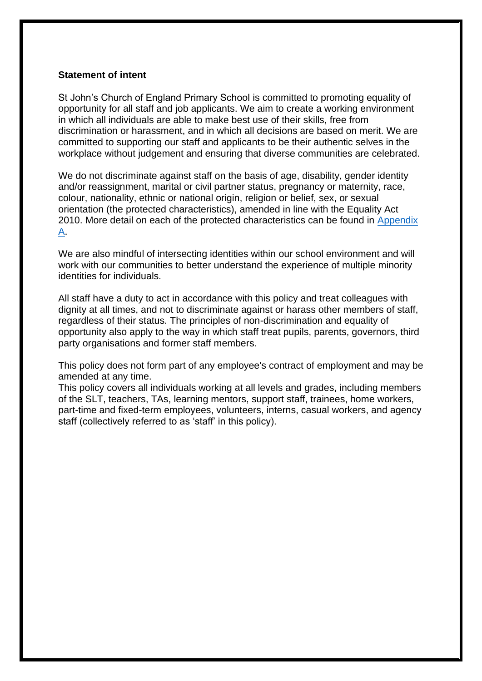#### <span id="page-2-0"></span>**Statement of intent**

St John's Church of England Primary School is committed to promoting equality of opportunity for all staff and job applicants. We aim to create a working environment in which all individuals are able to make best use of their skills, free from discrimination or harassment, and in which all decisions are based on merit. We are committed to supporting our staff and applicants to be their authentic selves in the workplace without judgement and ensuring that diverse communities are celebrated.

We do not discriminate against staff on the basis of age, disability, gender identity and/or reassignment, marital or civil partner status, pregnancy or maternity, race, colour, nationality, ethnic or national origin, religion or belief, sex, or sexual orientation (the protected characteristics), amended in line with the Equality Act 2010. More detail on each of the protected characteristics can be found in [Appendix](#page-7-3)  [A.](#page-7-3)

We are also mindful of intersecting identities within our school environment and will work with our communities to better understand the experience of multiple minority identities for individuals.

All staff have a duty to act in accordance with this policy and treat colleagues with dignity at all times, and not to discriminate against or harass other members of staff, regardless of their status. The principles of non-discrimination and equality of opportunity also apply to the way in which staff treat pupils, parents, governors, third party organisations and former staff members.

This policy does not form part of any employee's contract of employment and may be amended at any time.

This policy covers all individuals working at all levels and grades, including members of the SLT, teachers, TAs, learning mentors, support staff, trainees, home workers, part-time and fixed-term employees, volunteers, interns, casual workers, and agency staff (collectively referred to as 'staff' in this policy).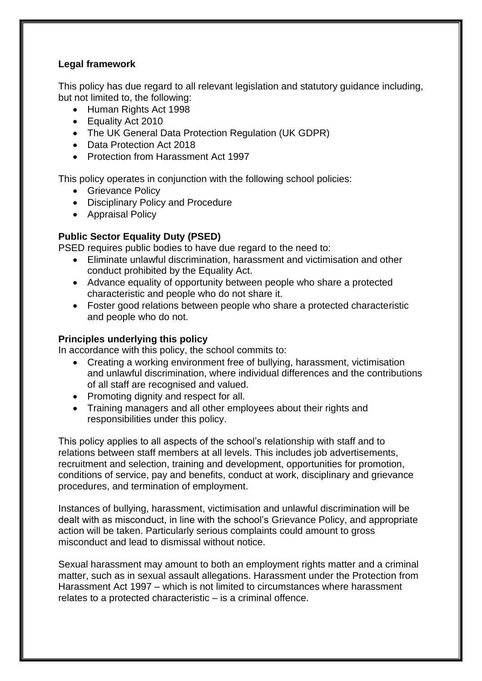## <span id="page-3-0"></span>**Legal framework**

This policy has due regard to all relevant legislation and statutory guidance including, but not limited to, the following:

- Human Rights Act 1998
- Equality Act 2010
- The UK General Data Protection Regulation (UK GDPR)
- Data Protection Act 2018
- Protection from Harassment Act 1997

This policy operates in conjunction with the following school policies:

- Grievance Policy
- Disciplinary Policy and Procedure
- Appraisal Policy

# **Public Sector Equality Duty (PSED)**

PSED requires public bodies to have due regard to the need to:

- Eliminate unlawful discrimination, harassment and victimisation and other conduct prohibited by the Equality Act.
- Advance equality of opportunity between people who share a protected characteristic and people who do not share it.
- Foster good relations between people who share a protected characteristic and people who do not.

## <span id="page-3-1"></span>**Principles underlying this policy**

In accordance with this policy, the school commits to:

- Creating a working environment free of bullying, harassment, victimisation and unlawful discrimination, where individual differences and the contributions of all staff are recognised and valued.
- Promoting dignity and respect for all.
- Training managers and all other employees about their rights and responsibilities under this policy.

This policy applies to all aspects of the school's relationship with staff and to relations between staff members at all levels. This includes job advertisements, recruitment and selection, training and development, opportunities for promotion, conditions of service, pay and benefits, conduct at work, disciplinary and grievance procedures, and termination of employment.

Instances of bullying, harassment, victimisation and unlawful discrimination will be dealt with as misconduct, in line with the school's Grievance Policy, and appropriate action will be taken. Particularly serious complaints could amount to gross misconduct and lead to dismissal without notice.

Sexual harassment may amount to both an employment rights matter and a criminal matter, such as in sexual assault allegations. Harassment under the Protection from Harassment Act 1997 – which is not limited to circumstances where harassment relates to a protected characteristic – is a criminal offence.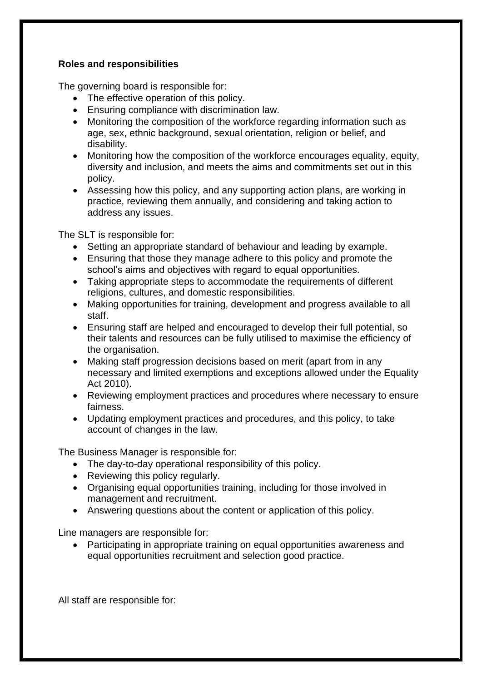## <span id="page-4-0"></span>**Roles and responsibilities**

The governing board is responsible for:

- The effective operation of this policy.
- Ensuring compliance with discrimination law.
- Monitoring the composition of the workforce regarding information such as age, sex, ethnic background, sexual orientation, religion or belief, and disability.
- Monitoring how the composition of the workforce encourages equality, equity, diversity and inclusion, and meets the aims and commitments set out in this policy.
- Assessing how this policy, and any supporting action plans, are working in practice, reviewing them annually, and considering and taking action to address any issues.

The SLT is responsible for:

- Setting an appropriate standard of behaviour and leading by example.
- Ensuring that those they manage adhere to this policy and promote the school's aims and objectives with regard to equal opportunities.
- Taking appropriate steps to accommodate the requirements of different religions, cultures, and domestic responsibilities.
- Making opportunities for training, development and progress available to all staff.
- Ensuring staff are helped and encouraged to develop their full potential, so their talents and resources can be fully utilised to maximise the efficiency of the organisation.
- Making staff progression decisions based on merit (apart from in any necessary and limited exemptions and exceptions allowed under the Equality Act 2010).
- Reviewing employment practices and procedures where necessary to ensure fairness.
- Updating employment practices and procedures, and this policy, to take account of changes in the law.

The Business Manager is responsible for:

- The day-to-day operational responsibility of this policy.
- Reviewing this policy regularly.
- Organising equal opportunities training, including for those involved in management and recruitment.
- Answering questions about the content or application of this policy.

Line managers are responsible for:

• Participating in appropriate training on equal opportunities awareness and equal opportunities recruitment and selection good practice.

All staff are responsible for: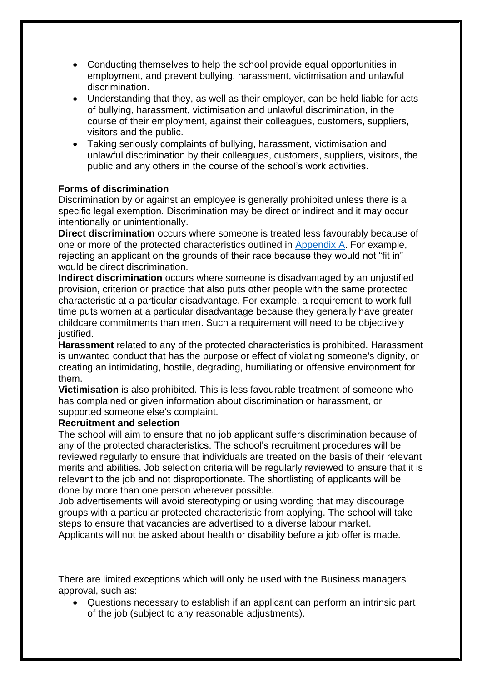- Conducting themselves to help the school provide equal opportunities in employment, and prevent bullying, harassment, victimisation and unlawful discrimination.
- Understanding that they, as well as their employer, can be held liable for acts of bullying, harassment, victimisation and unlawful discrimination, in the course of their employment, against their colleagues, customers, suppliers, visitors and the public.
- Taking seriously complaints of bullying, harassment, victimisation and unlawful discrimination by their colleagues, customers, suppliers, visitors, the public and any others in the course of the school's work activities.

#### <span id="page-5-0"></span>**Forms of discrimination**

Discrimination by or against an employee is generally prohibited unless there is a specific legal exemption. Discrimination may be direct or indirect and it may occur intentionally or unintentionally.

**Direct discrimination** occurs where someone is treated less favourably because of one or more of the protected characteristics outlined in [Appendix A.](#page-7-3) For example, rejecting an applicant on the grounds of their race because they would not "fit in" would be direct discrimination.

**Indirect discrimination** occurs where someone is disadvantaged by an unjustified provision, criterion or practice that also puts other people with the same protected characteristic at a particular disadvantage. For example, a requirement to work full time puts women at a particular disadvantage because they generally have greater childcare commitments than men. Such a requirement will need to be objectively justified.

**Harassment** related to any of the protected characteristics is prohibited. Harassment is unwanted conduct that has the purpose or effect of violating someone's dignity, or creating an intimidating, hostile, degrading, humiliating or offensive environment for them.

**Victimisation** is also prohibited. This is less favourable treatment of someone who has complained or given information about discrimination or harassment, or supported someone else's complaint.

#### <span id="page-5-1"></span>**Recruitment and selection**

The school will aim to ensure that no job applicant suffers discrimination because of any of the protected characteristics. The school's recruitment procedures will be reviewed regularly to ensure that individuals are treated on the basis of their relevant merits and abilities. Job selection criteria will be regularly reviewed to ensure that it is relevant to the job and not disproportionate. The shortlisting of applicants will be done by more than one person wherever possible.

Job advertisements will avoid stereotyping or using wording that may discourage groups with a particular protected characteristic from applying. The school will take steps to ensure that vacancies are advertised to a diverse labour market. Applicants will not be asked about health or disability before a job offer is made.

There are limited exceptions which will only be used with the Business managers' approval, such as:

• Questions necessary to establish if an applicant can perform an intrinsic part of the job (subject to any reasonable adjustments).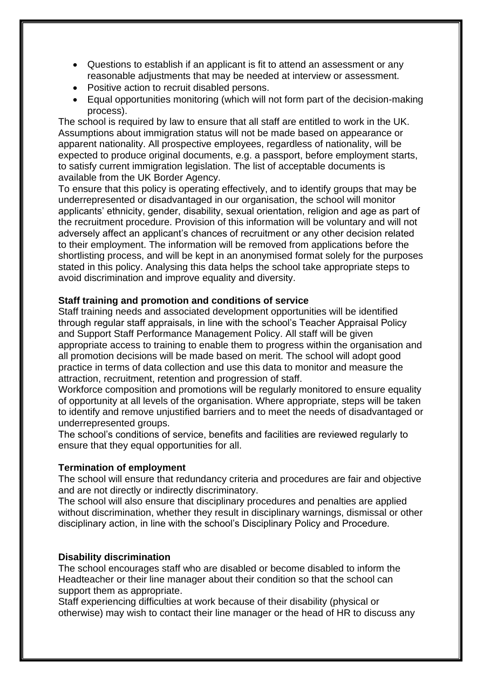- Questions to establish if an applicant is fit to attend an assessment or any reasonable adjustments that may be needed at interview or assessment.
- Positive action to recruit disabled persons.
- Equal opportunities monitoring (which will not form part of the decision-making process).

The school is required by law to ensure that all staff are entitled to work in the UK. Assumptions about immigration status will not be made based on appearance or apparent nationality. All prospective employees, regardless of nationality, will be expected to produce original documents, e.g. a passport, before employment starts, to satisfy current immigration legislation. The list of acceptable documents is available from the UK Border Agency.

To ensure that this policy is operating effectively, and to identify groups that may be underrepresented or disadvantaged in our organisation, the school will monitor applicants' ethnicity, gender, disability, sexual orientation, religion and age as part of the recruitment procedure. Provision of this information will be voluntary and will not adversely affect an applicant's chances of recruitment or any other decision related to their employment. The information will be removed from applications before the shortlisting process, and will be kept in an anonymised format solely for the purposes stated in this policy. Analysing this data helps the school take appropriate steps to avoid discrimination and improve equality and diversity.

### <span id="page-6-0"></span>**Staff training and promotion and conditions of service**

Staff training needs and associated development opportunities will be identified through regular staff appraisals, in line with the school's Teacher Appraisal Policy and Support Staff Performance Management Policy. All staff will be given appropriate access to training to enable them to progress within the organisation and all promotion decisions will be made based on merit. The school will adopt good practice in terms of data collection and use this data to monitor and measure the attraction, recruitment, retention and progression of staff.

Workforce composition and promotions will be regularly monitored to ensure equality of opportunity at all levels of the organisation. Where appropriate, steps will be taken to identify and remove unjustified barriers and to meet the needs of disadvantaged or underrepresented groups.

The school's conditions of service, benefits and facilities are reviewed regularly to ensure that they equal opportunities for all.

#### <span id="page-6-1"></span>**Termination of employment**

The school will ensure that redundancy criteria and procedures are fair and objective and are not directly or indirectly discriminatory.

The school will also ensure that disciplinary procedures and penalties are applied without discrimination, whether they result in disciplinary warnings, dismissal or other disciplinary action, in line with the school's Disciplinary Policy and Procedure.

#### <span id="page-6-2"></span>**Disability discrimination**

The school encourages staff who are disabled or become disabled to inform the Headteacher or their line manager about their condition so that the school can support them as appropriate.

Staff experiencing difficulties at work because of their disability (physical or otherwise) may wish to contact their line manager or the head of HR to discuss any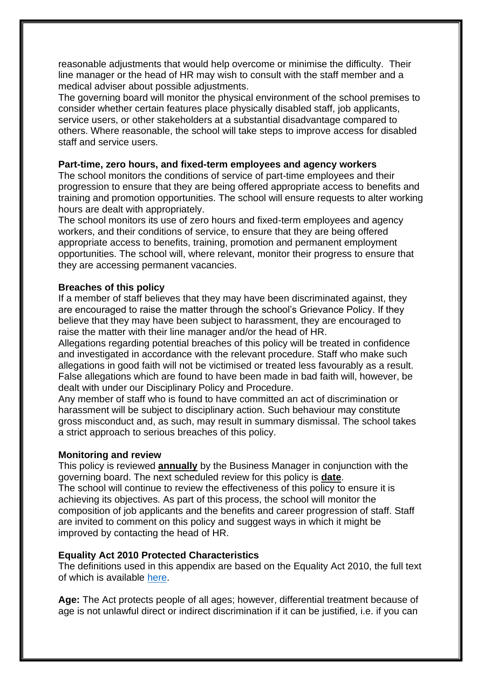reasonable adjustments that would help overcome or minimise the difficulty. Their line manager or the head of HR may wish to consult with the staff member and a medical adviser about possible adjustments.

The governing board will monitor the physical environment of the school premises to consider whether certain features place physically disabled staff, job applicants, service users, or other stakeholders at a substantial disadvantage compared to others. Where reasonable, the school will take steps to improve access for disabled staff and service users.

#### <span id="page-7-0"></span>**Part-time, zero hours, and fixed-term employees and agency workers**

The school monitors the conditions of service of part-time employees and their progression to ensure that they are being offered appropriate access to benefits and training and promotion opportunities. The school will ensure requests to alter working hours are dealt with appropriately.

The school monitors its use of zero hours and fixed-term employees and agency workers, and their conditions of service, to ensure that they are being offered appropriate access to benefits, training, promotion and permanent employment opportunities. The school will, where relevant, monitor their progress to ensure that they are accessing permanent vacancies.

#### <span id="page-7-1"></span>**Breaches of this policy**

If a member of staff believes that they may have been discriminated against, they are encouraged to raise the matter through the school's Grievance Policy. If they believe that they may have been subject to harassment, they are encouraged to raise the matter with their line manager and/or the head of HR.

Allegations regarding potential breaches of this policy will be treated in confidence and investigated in accordance with the relevant procedure. Staff who make such allegations in good faith will not be victimised or treated less favourably as a result. False allegations which are found to have been made in bad faith will, however, be dealt with under our Disciplinary Policy and Procedure.

Any member of staff who is found to have committed an act of discrimination or harassment will be subject to disciplinary action. Such behaviour may constitute gross misconduct and, as such, may result in summary dismissal. The school takes a strict approach to serious breaches of this policy.

#### <span id="page-7-2"></span>**Monitoring and review**

This policy is reviewed **annually** by the Business Manager in conjunction with the governing board. The next scheduled review for this policy is **date**. The school will continue to review the effectiveness of this policy to ensure it is

achieving its objectives. As part of this process, the school will monitor the composition of job applicants and the benefits and career progression of staff. Staff are invited to comment on this policy and suggest ways in which it might be improved by contacting the head of HR.

#### <span id="page-7-3"></span>**Equality Act 2010 Protected Characteristics**

The definitions used in this appendix are based on the Equality Act 2010, the full text of which is available [here.](https://www.legislation.gov.uk/ukpga/2010/15/contents)

**Age:** The Act protects people of all ages; however, differential treatment because of age is not unlawful direct or indirect discrimination if it can be justified, i.e. if you can